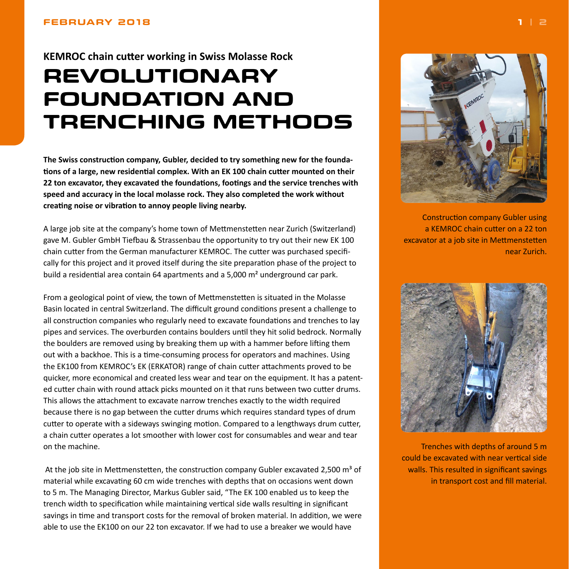## <span id="page-0-0"></span>**KEMROC chain cutter working in Swiss Molasse Rock**

## **REVOLUTIONARY FOUNDATION AND TRENCHING METHODS**

**The Swiss construction company, Gubler, decided to try something new for the foundations of a large, new residential complex. With an EK 100 chain cutter mounted on their 22 ton excavator, they excavated the foundations, footings and the service trenches with speed and accuracy in the local molasse rock. They also completed the work without creating noise or vibration to annoy people living nearby.** 

A large job site at the company's home town of Mettmenstetten near Zurich (Switzerland) gave M. Gubler GmbH Tiefbau & Strassenbau the opportunity to try out their new EK 100 chain cutter from the German manufacturer KEMROC. The cutter was purchased specifically for this project and it proved itself during the site preparation phase of the project to build a residential area contain 64 apartments and a 5,000 m² underground car park.

From a geological point of view, the town of Mettmenstetten is situated in the Molasse Basin located in central Switzerland. The difficult ground conditions present a challenge to all construction companies who regularly need to excavate foundations and trenches to lay pipes and services. The overburden contains boulders until they hit solid bedrock. Normally the boulders are removed using by breaking them up with a hammer before lifting them out with a backhoe. This is a time-consuming process for operators and machines. Using the EK100 from KEMROC's EK (ERKATOR) range of chain cutter attachments proved to be quicker, more economical and created less wear and tear on the equipment. It has a patented cutter chain with round attack picks mounted on it that runs between two cutter drums. This allows the attachment to excavate narrow trenches exactly to the width required because there is no gap between the cutter drums which requires standard types of drum cutter to operate with a sideways swinging motion. Compared to a lengthways drum cutter, a chain cutter operates a lot smoother with lower cost for consumables and wear and tear on the machine.

At the job site in Mettmenstetten, the construction company Gubler excavated 2,500  $m<sup>3</sup>$  of material while excavating 60 cm wide trenches with depths that on occasions went down to 5 m. The Managing Director, Markus Gubler said, "The EK 100 enabled us to keep the trench width to specification while maintaining vertical side walls resulting in significant savings in time and transport costs for the removal of broken material. In addition, we were able to use the EK100 on our 22 ton excavator. If we had to use a breaker we would have



Construction company Gubler using a KEMROC chain cutter on a 22 ton excavator at a job site in Mettmenstetten near Zurich.



Trenches with depths of around 5 m could be excavated with near vertical side walls. This resulted in significant savings in transport cost and fill material.